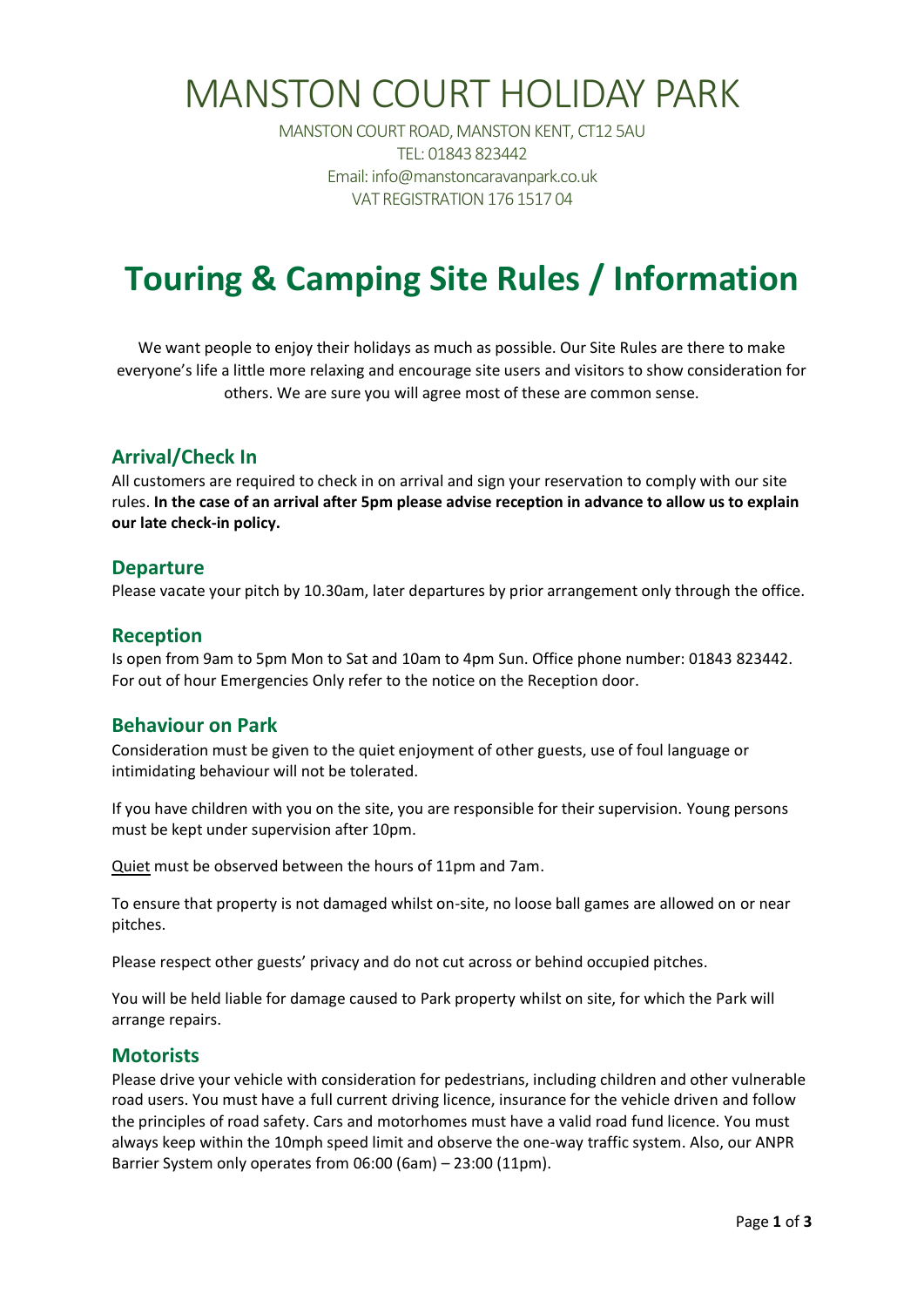# MANSTON COURT HOLIDAY PARK

MANSTON COURT ROAD, MANSTON KENT, CT12 5AU TEL: 01843 823442 Email: info@manstoncaravanpark.co.uk VAT REGISTRATION 176 1517 04

## **Touring & Camping Site Rules / Information**

We want people to enjoy their holidays as much as possible. Our Site Rules are there to make everyone's life a little more relaxing and encourage site users and visitors to show consideration for others. We are sure you will agree most of these are common sense.

#### **Arrival/Check In**

All customers are required to check in on arrival and sign your reservation to comply with our site rules. **In the case of an arrival after 5pm please advise reception in advance to allow us to explain our late check-in policy.** 

#### **Departure**

Please vacate your pitch by 10.30am, later departures by prior arrangement only through the office.

#### **Reception**

Is open from 9am to 5pm Mon to Sat and 10am to 4pm Sun. Office phone number: 01843 823442. For out of hour Emergencies Only refer to the notice on the Reception door.

#### **Behaviour on Park**

Consideration must be given to the quiet enjoyment of other guests, use of foul language or intimidating behaviour will not be tolerated.

If you have children with you on the site, you are responsible for their supervision. Young persons must be kept under supervision after 10pm.

Quiet must be observed between the hours of 11pm and 7am.

To ensure that property is not damaged whilst on-site, no loose ball games are allowed on or near pitches.

Please respect other guests' privacy and do not cut across or behind occupied pitches.

You will be held liable for damage caused to Park property whilst on site, for which the Park will arrange repairs.

#### **Motorists**

Please drive your vehicle with consideration for pedestrians, including children and other vulnerable road users. You must have a full current driving licence, insurance for the vehicle driven and follow the principles of road safety. Cars and motorhomes must have a valid road fund licence. You must always keep within the 10mph speed limit and observe the one-way traffic system. Also, our ANPR Barrier System only operates from 06:00 (6am) – 23:00 (11pm).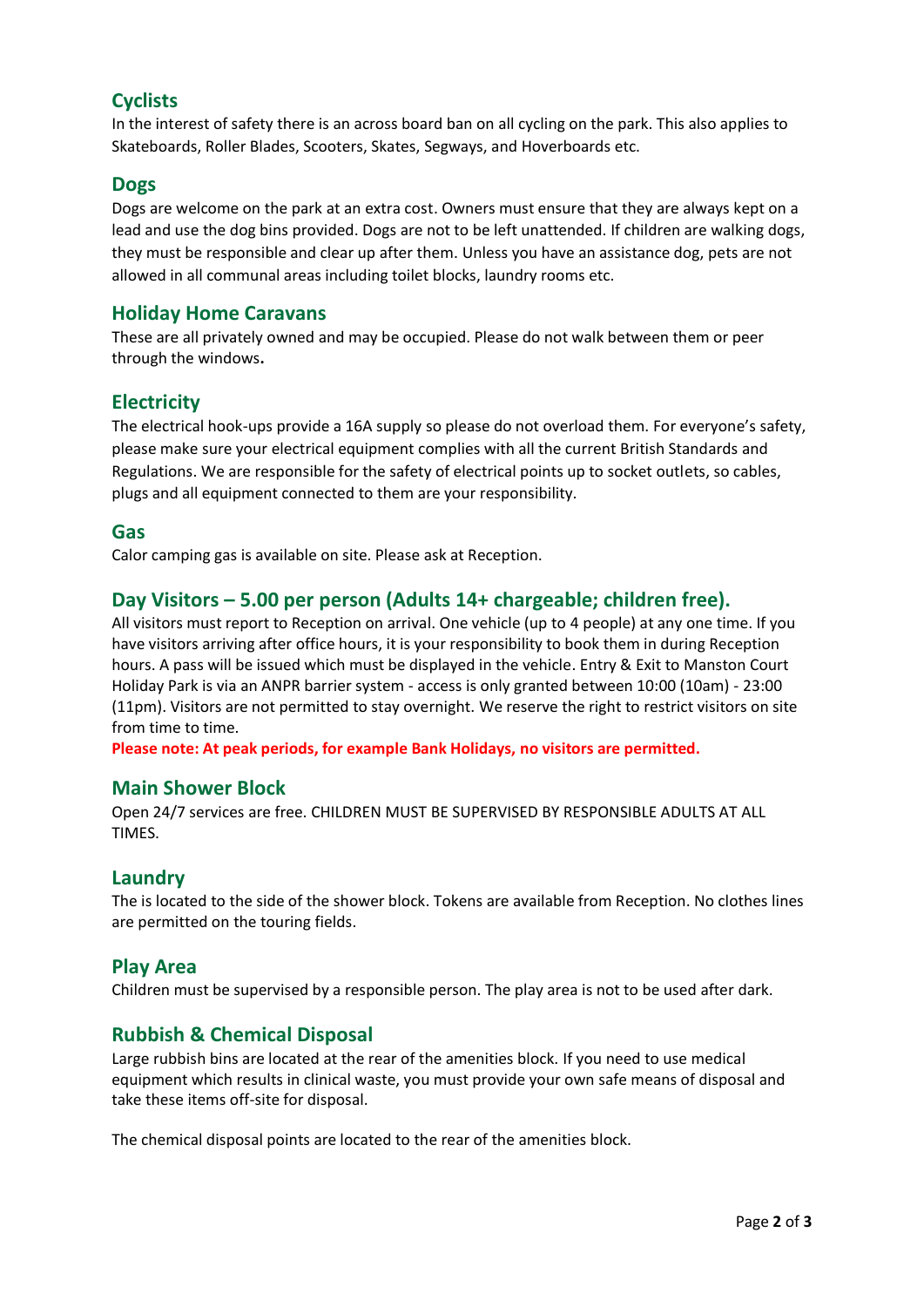### **Cyclists**

In the interest of safety there is an across board ban on all cycling on the park. This also applies to Skateboards, Roller Blades, Scooters, Skates, Segways, and Hoverboards etc.

#### **Dogs**

Dogs are welcome on the park at an extra cost. Owners must ensure that they are always kept on a lead and use the dog bins provided. Dogs are not to be left unattended. If children are walking dogs, they must be responsible and clear up after them. Unless you have an assistance dog, pets are not allowed in all communal areas including toilet blocks, laundry rooms etc.

#### **Holiday Home Caravans**

These are all privately owned and may be occupied. Please do not walk between them or peer through the windows**.** 

#### **Electricity**

The electrical hook-ups provide a 16A supply so please do not overload them. For everyone's safety, please make sure your electrical equipment complies with all the current British Standards and Regulations. We are responsible for the safety of electrical points up to socket outlets, so cables, plugs and all equipment connected to them are your responsibility.

#### **Gas**

Calor camping gas is available on site. Please ask at Reception.

#### **Day Visitors – 5.00 per person (Adults 14+ chargeable; children free).**

All visitors must report to Reception on arrival. One vehicle (up to 4 people) at any one time. If you have visitors arriving after office hours, it is your responsibility to book them in during Reception hours. A pass will be issued which must be displayed in the vehicle. Entry & Exit to Manston Court Holiday Park is via an ANPR barrier system - access is only granted between 10:00 (10am) - 23:00 (11pm). Visitors are not permitted to stay overnight. We reserve the right to restrict visitors on site from time to time.

**Please note: At peak periods, for example Bank Holidays, no visitors are permitted.**

#### **Main Shower Block**

Open 24/7 services are free. CHILDREN MUST BE SUPERVISED BY RESPONSIBLE ADULTS AT ALL TIMES.

#### **Laundry**

The is located to the side of the shower block. Tokens are available from Reception. No clothes lines are permitted on the touring fields.

#### **Play Area**

Children must be supervised by a responsible person. The play area is not to be used after dark.

#### **Rubbish & Chemical Disposal**

Large rubbish bins are located at the rear of the amenities block. If you need to use medical equipment which results in clinical waste, you must provide your own safe means of disposal and take these items off-site for disposal.

The chemical disposal points are located to the rear of the amenities block.